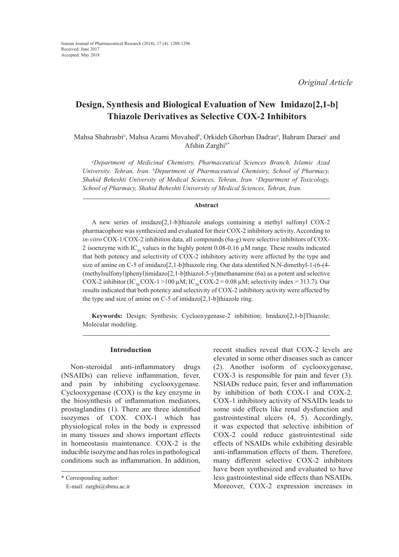*Original Article*

# **Design, Synthesis and Biological Evaluation of New Imidazo[2,1-b] Thiazole Derivatives as Selective COX-2 Inhibitors**

Mahsa Shahrasbi<sup>a</sup>, Mahsa Azami Movahed<sup>b</sup>, Orkideh Ghorban Dadras<sup>a</sup>, Bahram Daraei<sup>*c*</sup> and Afshin Zarghi*b\**

*a Department of Medicinal Chemistry, Pharmaceutical Sciences Branch, Islamic Azad University, Tehran, Iran. b Department of Pharmaceutical Chemistry, School of Pharmacy,*  Shahid Beheshti University of Medical Sciences, Tehran, Iran. *°Department of Toxicology*, *School of Pharmacy, Shahid Beheshti University of Medical Sciences, Tehran, Iran.*

#### **Abstract**

A new series of imidazo[2,1-b]thiazole analogs containing a methyl sulfonyl COX-2 pharmacophore was synthesized and evaluated for their COX-2 inhibitory activity. According to *in-vitro* COX-1/COX-2 inhibition data, all compounds (6a-g) were selective inhibitors of COX-2 isoenzyme with IC<sub>50</sub> values in the highly potent 0.08-0.16  $\mu$ M range. These results indicated that both potency and selectivity of COX-2 inhibitory activity were affected by the type and size of amine on C-5 of imidazo[2,1-b]thiazole ring. Our data identified N,N-dimethyl-1-(6-(4- (methylsulfonyl)phenyl)imidazo[2,1-b]thiazol-5-yl)methanamine (6a) as a potent and selective COX-2 inhibitor (IC<sub>50</sub> COX-1 > 100 µM; IC<sub>50</sub> COX-2 = 0.08 µM; selectivity index = 313.7). Our results indicated that both potency and selectivity of COX-2 inhibitory activity were affected by the type and size of amine on C-5 of imidazo[2,1-b]thiazole ring.

**Keywords:** Design; Synthesis; Cyclooxygenase-2 inhibition; Imidazo[2,1-b]Thiazole; Molecular modeling.

## **Introduction**

Non-steroidal anti-inflammatory drugs (NSAIDs) can relieve inflammation, fever, and pain by inhibiting cyclooxygenase. Cyclooxygenase (COX) is the key enzyme in the biosynthesis of inflammation mediators, prostaglandins (1). There are three identified isozymes of COX. COX-1 which has physiological roles in the body is expressed in many tissues and shows important effects in homeostasis maintenance. COX-2 is the inducible isozyme and has roles in pathological conditions such as inflammation. In addition, recent studies reveal that COX-2 levels are elevated in some other diseases such as cancer (2). Another isoform of cyclooxygenase, COX-3 is responsible for pain and fever (3). NSIADs reduce pain, fever and inflammation by inhibition of both COX-1 and COX-2. COX-1 inhibitory activity of NSAIDs leads to some side effects like renal dysfunction and gastrointestinal ulcers (4, 5). Accordingly, it was expected that selective inhibition of COX-2 could reduce gastrointestinal side effects of NSAIDs while exhibiting desirable anti-inflammation effects of them. Therefore, many different selective COX-2 inhibitors have been synthesized and evaluated to have less gastrointestinal side effects than NSAIDs. Moreover, COX-2 expression increases in

<sup>\*</sup> Corresponding author:

E-mail: zarghi@sbmu.ac.ir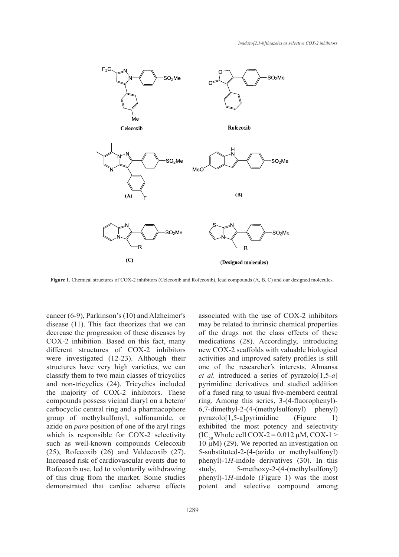

Figure 1. Chemical structures of COX-2 inhibitors (Celecoxib and Rofecoxib), lead compounds (A, B, C) and our designed molecules.

cancer (6-9), Parkinson's (10) and Alzheimer′s disease (11). This fact theorizes that we can decrease the progression of these diseases by COX-2 inhibition. Based on this fact, many different structures of COX-2 inhibitors were investigated (12-23). Although their structures have very high varieties, we can classify them to two main classes of tricyclics and non-tricyclics (24). Tricyclics included the majority of  $COX-2$  inhibitors. These compounds possess vicinal diaryl on a hetero/ carbocyclic central ring and a pharmacophore group of methylsulfonyl, sulfonamide, or pyrazolo[1,5-a]pyrimidine (Figure azido on *para* position of one of the aryl rings which is responsible for COX-2 selectivity such as well-known compounds Celecoxib (25), Rofecoxib (26) and Valdecoxib (27). Increased risk of cardiovascular events due to Rofecoxib use, led to voluntarily withdrawing of this drug from the market. Some studies demonstrated that cardiac adverse effects

associated with the use of COX-2 inhibitors may be related to intrinsic chemical properties of the drugs not the class effects of these medications (28). Accordingly, introducing new COX-2 scaffolds with valuable biological investigated (12-23). Although their activities and improved safety profiles is still uctures have very high varieties, we can one of the researcher's interests. Almansa *et al.* introduced a series of pyrazolo[1,5-*a*] d non-tricyclics (24). Tricyclics included pyrimidine derivatives and studied addition majority of COX-2 inhibitors. These of a fused ring to usual five-memberd central mpounds possess vicinal diaryl on a hetero ring. Among this series, 3-(4-fluorophenyl)-6,7-dimethyl-2-(4-(methylsulfonyl) phenyl) pyrazolo[1,5-a]pyrimidine (Figure 1) do on para position of one of the aryl rings exhibited the most potency and selectivity  $(IC<sub>50</sub> Whole cell COX-2 = 0.012 \mu M, COX-1 >$ then is responsive for SOIT Selectring  $(10 \text{ g})$  (29). We reported an investigation on  $(\text{h})$  and  $(\text{h})$  (29). We reported an investigation on 5-substituted-2-(4-(azido or methylsulfonyl) phenyl)-1*H*-indole derivatives (30). In this study, 5-methoxy-2-(4-(methylsulfonyl) phenyl)-1*H*-indole (Figure 1) was the most potent and selective compound among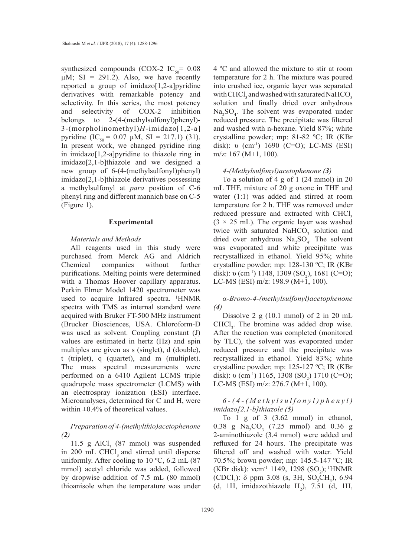synthesized compounds (COX-2 IC<sub>50</sub>=  $0.08$ )  $\mu$ M; SI = 291.2). Also, we have recently reported a group of imidazo[1,2-a]pyridine derivatives with remarkable potency and selectivity. In this series, the most potency and selectivity of COX-2 inhibition belongs to 2-(4-(methylsulfonyl)phenyl)-3-(morpholinomethyl)*H*-imidazo[1,2-a] pyridine (IC<sub>50</sub> = 0.07  $\mu$ M, SI = 217.1) (31). In present work, we changed pyridine ring in imidazo[1,2-a]pyridine to thiazole ring in imidazo[2,1-b]thiazole and we designed a new group of 6-(4-(methylsulfonyl)phenyl) imidazo[2,1-b]thiazole derivatives possessing a methylsulfonyl at *para* position of C-6 phenyl ring and different mannich base on C-5 (Figure 1).

#### **Experimental**

#### *Materials and Methods*

All reagents used in this study were purchased from Merck AG and Aldrich Chemical companies without further purifications. Melting points were determined with a Thomas–Hoover capillary apparatus. Perkin Elmer Model 1420 spectrometer was used to acquire Infrared spectra. 1 HNMR spectra with TMS as internal standard were acquired with Bruker FT-500 MHz instrument (Brucker Biosciences, USA. Chloroform-D was used as solvent. Coupling constant (J) values are estimated in hertz (Hz) and spin multiples are given as s (singlet), d (double), t (triplet), q (quartet), and m (multiplet). The mass spectral measurements were performed on a 6410 Agilent LCMS triple quadrupole mass spectrometer (LCMS) with an electrospray ionization (ESI) interface. Microanalyses, determined for C and H, were within  $\pm 0.4\%$  of theoretical values.

## *Preparation of 4-(methylthio)acetophenone (2)*

11.5 g AlCl<sub>3</sub> (87 mmol) was suspended in 200 mL CHCl, and stirred until disperse uniformly. After cooling to 10 ºC, 6.2 mL (87 mmol) acetyl chloride was added, followed by dropwise addition of 7.5 mL (80 mmol) thioanisole when the temperature was under

4 ºC and allowed the mixture to stir at room temperature for 2 h. The mixture was poured into crushed ice, organic layer was separated with CHCl<sub>3</sub> and washed with saturated NaHCO<sub>3</sub> solution and finally dried over anhydrous  $Na<sub>2</sub>SO<sub>4</sub>$ . The solvent was evaporated under reduced pressure. The precipitate was filtered and washed with n-hexane. Yield 87%; white crystalline powder; mp: 81-82 ºC; IR (KBr disk): υ (cm<sup>-1</sup>) 1690 (C=O); LC-MS (ESI) m/z: 167 (M+1, 100).

#### *4-(Methylsulfonyl)acetophenone (3)*

To a solution of 4 g of 1 (24 mmol) in 20 mL THF, mixture of 20 g oxone in THF and water (1:1) was added and stirred at room temperature for 2 h. THF was removed under reduced pressure and extracted with CHCl<sub>3</sub>  $(3 \times 25 \text{ mL})$ . The organic layer was washed twice with saturated  $NAHCO<sub>3</sub>$  solution and dried over anhydrous  $Na<sub>2</sub>SO<sub>4</sub>$ . The solvent was evaporated and white precipitate was recrystallized in ethanol. Yield 95%; white crystalline powder; mp: 128-130 ºC; IR (KBr disk): υ (cm<sup>-1</sup>) 1148, 1309 (SO<sub>2</sub>), 1681 (C=O); LC-MS (ESI) m/z: 198.9 (M+1, 100).

*α-Bromo-4-(methylsulfonyl)acetophenone (4)*

Dissolve 2 g (10.1 mmol) of 2 in 20 mL  $CHCl<sub>3</sub>$ . The bromine was added drop wise. After the reaction was completed (monitored by TLC), the solvent was evaporated under reduced pressure and the precipitate was recrystallized in ethanol. Yield 83%; white crystalline powder; mp: 125-127 ºC; IR (KBr disk): υ (cm<sup>-1</sup>) 1165, 1308 (SO<sub>2</sub>) 1710 (C=O); LC-MS (ESI) m/z: 276.7 (M+1, 100).

## *6-(4-(Methylsulfonyl)phenyl) imidazo[2,1-b]thiazole (5)*

To 1 g of 3 (3.62 mmol) in ethanol, 0.38 g  $Na_2CO_3$  (7.25 mmol) and 0.36 g 2-aminothiazole (3.4 mmol) were added and refluxed for 24 hours. The precipitate was filtered off and washed with water. Yield 70.5%; brown powder; mp: 145.5-147 ºC; IR (KBr disk): vcm<sup>-1</sup> 1149, 1298 (SO<sub>2</sub>); <sup>1</sup>HNMR (CDCl<sub>3</sub>):  $\delta$  ppm 3.08 (s, 3H, SO<sub>2</sub>CH<sub>3</sub>), 6.94 (d, 1H, imidazothiazole  $H_2$ ), 7.51 (d, 1H,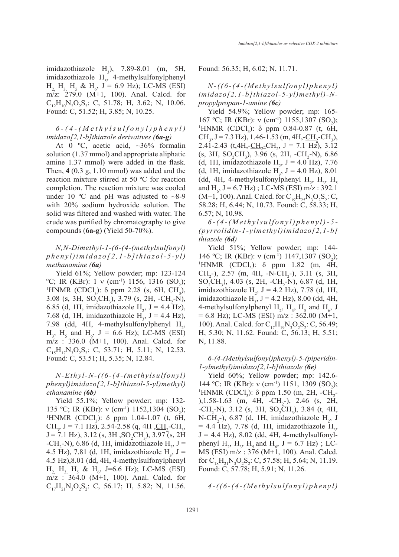imidazothiazole  $H_3$ ), 7.89-8.01 (m, 5H, imidazothiazole  $H<sub>5</sub>$ , 4-methylsulfonylphenyl  $H_{2, H_{3, H_{5}}$  &  $H_{6}$ , J = 6.9 Hz); LC-MS (ESI) m/z: 279.0 (M+1, 100). Anal. Calcd. for  $C_{12}H_{10}N_2O_2S_2$ : C, 51.78; H, 3.62; N, 10.06. Found: C, 51.52; H, 3.85; N, 10.25.

## *6-(4-(Methylsulfonyl)phenyl) imidazo[2,1-b]thiazole derivatives (6a-g)*

At 0  $^{\circ}$ C, acetic acid,  $\sim$ 36% formalin solution (1.37 mmol) and appropriate aliphatic amine 1.37 mmol) were added in the flask. Then, **4** (0.3 g, 1.10 mmol) was added and the reaction mixture stirred at 50 ºC for reaction completion. The reaction mixture was cooled under 10 °C and pH was adjusted to  $\sim$ 8-9 with 20% sodium hydroxide solution. The solid was filtered and washed with water. The crude was purified by chromatography to give compounds (**6a-g**) (Yield 50-70%).

*N,N-Dimethyl-1-(6-(4-(methylsulfonyl) phenyl)imidazo[2,1-b]thiazol-5-yl) methanamine (6a)*

Yield 61%; Yellow powder; mp: 123-124 °C; IR (KBr):  $1 \vee \text{(cm}^{-1})$  1156, 1316 (SO<sub>2</sub>);<br><sup>1</sup>HNMR (CDCL):  $\delta$  ppm 2.28 (s. 6H, CH) HNMR (CDCl<sub>3</sub>): δ ppm 2.28 (s, 6H, CH<sub>3</sub>), 3.08 (s, 3H,  $SO_2CH_3$ ), 3.79 (s, 2H,  $-CH_2-N$ ), 6.85 (d, 1H, imidazothiazole  $H_2$ , J = 4.4 Hz), 7.68 (d, 1H, imidazothiazole  $H_3$ , J = 4.4 Hz), 7.98 (dd, 4H, 4-methylsulfonylphenyl  $H_2$ ,  $H_3$ ,  $H_5$  and  $H_6$ ,  $J = 6.6$  Hz); LC-MS (ESI) m/z : 336.0 (M+1, 100). Anal. Calcd. for  $C_{15}H_{17}N_3O_2S_2$ : C, 53.71; H, 5.11; N, 12.53. Found: C, 53.51; H, 5.35; N, 12.84.

## *N-Ethyl-N-((6-(4-(methylsulfonyl) phenyl)imidazo[2,1-b]thiazol-5-yl)methyl) ethanamine (6b)*

Yield 55.1%; Yellow powder; mp: 132- 135 °C; IR (KBr): ν (cm<sup>-1</sup>) 1152,1304 (SO<sub>2</sub>);<br><sup>1</sup>HNMR (CDCL): δ ppm 1.04-1.07 (t. 6H) HNMR (CDCl<sub>3</sub>): δ ppm 1.04-1.07 (t, 6H, CH<sub>3</sub>, J = 7.1 Hz), 2.54-2.58 (q, 4H , CH<sub>2</sub>-CH<sub>3</sub>,  $J = 7.1$  Hz), 3.12 (s, 3H, SO<sub>2</sub>CH<sub>3</sub>), 3.97 (s, 2H) -CH<sub>2</sub>-N), 6.86 (d, 1H, imidazothiazole  $H_2$ , J = 4.5 Hz), 7.81 (d, 1H, imidazothiazole  $H_3$ , J = 4.5 Hz),8.01 (dd, 4H, 4-methylsulfonylphenyl  $H_{2, H_{3, H_{5}}$  &  $H_{6}$ , J=6.6 Hz); LC-MS (ESI) m/z : 364.0 (M+1, 100). Anal. Calcd. for  $C_{17}H_{21}N_3O_2S_2$ : C, 56.17; H, 5.82; N, 11.56. Found: 56.35; H, 6.02; N, 11.71.

*N-((6-(4-(Methylsulfonyl)phenyl) imidazo[2,1-b]thiazol-5-yl)methyl)-Npropylpropan-1-amine (6c)*

Yield 54.9%; Yellow powder; mp: 165- 167 °C; IR (KBr): ν (cm<sup>-1</sup>) 1155,1307 (SO<sub>2</sub>);<br><sup>1</sup>HNMR (CDCL): δ ppm 0.84-0.87 (t. 6H HNMR (CDCl<sub>3</sub>): δ ppm 0.84-0.87 (t, 6H,  $CH_3$ , J = 7.3 Hz), 1.46-1.53 (m, 4H, - $CH_2$ -CH<sub>3</sub>), 2.41-2.43 (t,4H,- $\underline{CH}_2$ -CH<sub>2</sub>, J = 7.1 Hz), 3.12  $(s, 3H, SO_2CH_3), 3.96 (s, 2H, -CH_2-N), 6.86$ (d, 1H, imidazothiazole  $H_2$ , J = 4.0 Hz), 7.76 (d, 1H, imidazothiazole  $H_3$ , J = 4.0 Hz), 8.01 (dd, 4H, 4-methylsulfonylphenyl  $H_2$ ,  $H_3$ ,  $H_5$ and  $H_6$ , J = 6.7 Hz); LC-MS (ESI) m/z : 392.1 (M+1, 100). Anal. Calcd. for  $C_{19}H_{25}N_3O_2S_2$ : C, 58.28; H, 6.44; N, 10.73*.* Found: C, 58.33; H, 6.57; N, 10.98*.*

*6-(4-(Methylsulfonyl)phenyl)-5- (pyrrolidin-1-ylmethyl)imidazo[2,1-b] thiazole (6d)*

Yield 51%; Yellow powder; mp: 144- 146 °C; IR (KBr): ν (cm<sup>-1</sup>) 1147,1307 (SO<sub>2</sub>);<br><sup>1</sup>HNMR (CDCL): δ ppm 1.82 (m 4H HNMR (CDCl<sub>3</sub>): δ ppm 1.82 (m, 4H, CH<sub>2</sub>-), 2.57 (m, 4H, -N-CH<sub>2</sub>-), 3.11 (s, 3H,  $SO_2CH_3$ ), 4.03 (s, 2H, -CH<sub>2</sub>-N), 6.87 (d, 1H, imidazothiazole  $H_2$ , J = 4.2 Hz), 7.78 (d, 1H, imidazothiazole  $H_3$ , J = 4.2 Hz), 8.00 (dd, 4H, 4-methylsulfonylphenyl  $H_2$ ,  $H_3$ ,  $H_5$  and  $H_6$ , J  $= 6.8$  Hz); LC-MS (ESI) m/z : 362.00 (M+1, 100). Anal. Calcd. for  $C_{17}H_{19}N_3O_2S_2$ : C, 56.49; H, 5.30; N, 11.62. Found: C, 56.13; H, 5.51; N, 11.88.

## *6-(4-(Methylsulfonyl)phenyl)-5-(piperidin-1-ylmethyl)imidazo[2,1-b]thiazole (6e)*

Yield 60%; Yellow powder; mp: 142.6- 144 °C; IR (KBr): ν (cm<sup>-1</sup>) 1151, 1309 (SO<sub>2</sub>);<br><sup>1</sup>HNMR (CDCL): δ ppm 1.50 (m 2H -CH -HNMR (CDCl<sub>3</sub>): δ ppm 1.50 (m, 2H, -CH<sub>2</sub>- $),1.58-1.63$  (m, 4H,  $-CH_2$ -), 2.46 (s, 2H,  $-CH_2-N$ ), 3.12 (s, 3H,  $SO_2CH_3$ ), 3.84 (t, 4H, N-CH<sub>2</sub>-), 6.87 (d, 1H, imidazothiazole  $H_2$ , J  $= 4.4$  Hz), 7.78 (d, 1H, imidazothiazole H<sub>3</sub>,  $J = 4.4$  Hz), 8.02 (dd, 4H, 4-methylsulfonylphenyl  $H_2$ ,  $H_3$ ,  $H_5$  and  $H_6$ ,  $J = 6.7$  Hz); LC-MS (ESI) m/z : 376 (M+1, 100). Anal. Calcd. for  $C_{18}H_{21}N_3O_2S_2$ : C, 57.58; H, 5.64; N, 11.19. Found: C, 57.78; H, 5.91; N, 11.26.

*4-((6-(4-(Methylsulfonyl)phenyl)*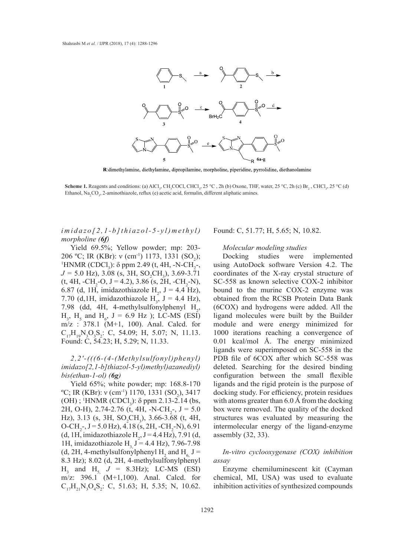

R:dimethylamine, diethylamine, dipropilamine, morpholine, piperidine, pyrrolidine, diethanolamine

**Scheme 1.** Reagents and conditions: (a) AlCl<sub>3</sub>, CH<sub>3</sub>COCl, CHCl<sub>3</sub>, 25 °C, 2h (b) Oxone, THF, water, 25 °C, 2h (c) Br<sub>2</sub>, CHCl<sub>3</sub>, 25 °C (d) Ethanol, Na<sub>2</sub>CO<sub>3</sub>, 2-aminothiazole, reflux (e) acetic acid, formalin, different aliphatic amines. different aliphatic amines. 1. Reagents and conditions: (a) AlCl<sub>3</sub>, CH<sub>3</sub>COCl, CHCl<sub>3</sub>, 25 °C, 2h (b) Oxone, THF, water, 25 °C, 2h (c) Br<sub>2</sub>, CHCl<sub>3</sub>

*imidazo[2,1-b]thiazol-5-yl)methyl)* Found: C, 51.77; H, 5.65; N, 10.82. *morpholine (6f)*  $I-bJthiazol-5-yl$ )  $methyl$  Found: C, 51.77; H, 5.65; N, 10.82.  $\alpha$  binding site were evaluated by a docking experiment. Results obtained from docking experiment. Results obtained from docking  $\alpha$ 

Yield 69.5%; Yellow powder; mp: 203-<br>Nolecular modeling studies 206 °C; IR (KBr):  $v$  (cm<sup>-1</sup>) 1173, 1331 (SO<sub>2</sub>); Docking studies were implement<br><sup>1</sup>HNMR (CDCl):  $\delta$  ppm 2.49 (t. 4H, -N-CH, and provide AutoDock software Version 4.2) HNMR (CDCl<sub>3</sub>):  $\delta$  ppm 2.49 (t, 4H, -N-CH<sub>2</sub>-, using AutoDock software Version  $\delta$  $J = 5.0$  Hz), 3.08 (s, 3H, SO<sub>2</sub>CH<sub>3</sub>), 3.69-3.71 coordinates of the X-ray crystal stru  $(t, 4H, -CH<sub>2</sub>-O, J = 4.2), 3.86$  (s, 2H,  $-CH<sub>2</sub>-N$ ), 6.87 (d, 1H, imidazothiazole  $H_2$ ,  $J = 4.4$  Hz), bound to the murine COX-2 enzy 7.70 (d, 1H, imidazothiazole  $H_3$ ,  $J = 4.4$  Hz), 7.98 (dd, 4H, 4-methylsulfonylphenyl  $H_2$ ,  $H_3$ ,  $H_5$  and  $H_6$ ,  $J = 6.9$  Hz ); LC-MS (ESI) m/z : 378.1 (M+1, 100). Anal. Calcd. for  $C_{17}H_{19}N_3O_3S_2$ : C, 54.09; H, 5.07; N, 11.13. Found: C, 54.23; H, 5.29; N, 11.33.

*2,2′-(((6-(4-(Methylsulfonyl)phenyl) imidazo[2,1-b]thiazol-5-yl)methyl)azanediyl) bis(ethan-1-ol) (6g)*

Yield 65%; white powder; mp: 168.8-170  $^{\circ}$ C; IR (KBr): v (cm<sup>-1</sup>) 1170, 1331 (SO<sub>2</sub>), 3417 (OH) ; <sup>1</sup>HNMR (CDCl<sub>3</sub>):  $\delta$  ppm 2.13-2.14 (bs, 2H, O-H), 2.74-2.76 (t, 4H, -N-CH<sub>2</sub>-, J = 5.0 Hz), 3.13 (s, 3H,  $SO_2CH_3$ ), 3.66-3.68 (t, 4H,  $O\text{-CH}_2$ -, J = 5.0 Hz), 4.18 (s, 2H, -CH<sub>2</sub>-N), 6.91 (d, 1H, imidazothiazole  $H_2$ , J = 4.4 Hz), 7.91 (d, 1H, imidazothiazole H<sub>2</sub> J = 4.4 Hz), 7.96-7.98 (d, 2H, 4-methylsulfonylphenyl  $H_2$  and  $H_6$ , J = 8.3 Hz); 8.02 (d, 2H, 4-methylsulfonylphenyl  $H_3$  and  $H_{5}$ ,  $J = 8.3$  Hz); LC-MS (ESI) m/z: 396.1 (M+1,100). Anal. Calcd. for  $C_{17}H_{21}N_3O_4S_2$ : C, 51.63; H, 5.35; N, 10.62.

## *Molecular modeling studies*

Docking studies were implemented using AutoDock software Version 4.2. The  $\frac{1}{2}$ ,  $\frac{1}{3}$ ,  $\frac{1}{2}$ ,  $\frac{1}{2}$ ,  $\frac{1}{2}$ ,  $\frac{1}{2}$ ,  $\frac{1}{2}$ ,  $\frac{1}{2}$ ,  $\frac{1}{2}$  (arg)  $\frac{1}{2}$ ,  $\frac{1}{2}$  (arg)  $\frac{1}{2}$ ,  $\frac{1}{2}$  (b)  $\frac{1}{2}$ ,  $\frac{1}{2}$  (c)  $\frac{1}{2}$ ,  $\frac{1}{2}$  (c)  $\frac{1}{2}$  (c)  $-0$ ,  $J = 4.2$ ),  $3.86$  (s,  $2H$ ,  $-CH_2-N$ ). SC-558 as known selective COX-2 inhibitor imidazothiazole  $H_2$ ,  $J = 4.4$  Hz), bound to the murine COX-2 enzyme was obtained from the RCSB Protein Data Bank (6COX) and hydrogens were added. All the ligand molecules were built by the Builder module and were energy minimized for 1000 iterations reaching a convergence of 0.01 kcal/mol Å. The energy minimized ligands were superimposed on SC-558 in the PDB file of 6COX after which SC-558 was deleted. Searching for the desired binding configuration between the small flexible ligands and the rigid protein is the purpose of docking study. For efficiency, protein residues with atoms greater than 6.0 Å from the docking box were removed. The quality of the docked structures was evaluated by measuring the intermolecular energy of the ligand-enzyme assembly (32, 33).

## *In-vitro cyclooxygenase (COX) inhibition assay*

Enzyme chemiluminescent kit (Cayman chemical, MI, USA) was used to evaluate inhibition activities of synthesized compounds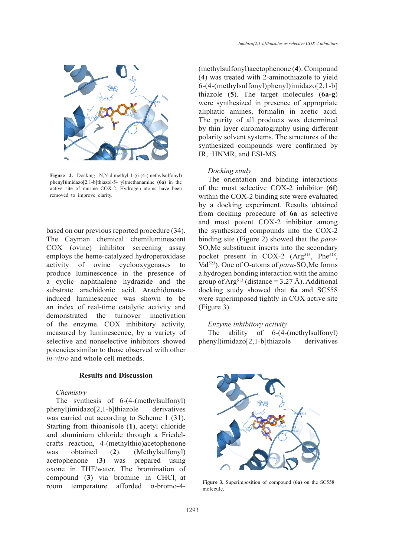

phenyl)imidazo[2,1-b]thiazol-5- yl)methanamine (**6a**) in the **The** active site of murine COX-2. Hydrogen atoms have been **of the Figure 2.** Docking N,N-dimethyl-1-(6-(4-(methylsulfonyl) removed to improve clarity.

based on our previous reported procedure (34). The Cayman chemical chemiluminescent COX (ovine) inhibitor screening assay employs the heme-catalyzed hydroperoxidase activity of ovine cyclooxygenases to produce luminescence in the presence of a cyclic naphthalene hydrazide and the substrate arachidonic acid. Arachidonateinduced luminescence was shown to be an index of real-time catalytic activity and demonstrated the turnover inactivation of the enzyme. COX inhibitory activity, measured by luminescence, by a variety of selective and nonselective inhibitors showed potencies similar to those observed with other *in-vitro* and whole cell methods. improve clarity.

## **Results and Discussion**

## *Chemistry*

The synthesis of 6-(4-(methylsulfonyl) phenyl)imidazo[2,1-b]thiazole derivatives was carried out according to Scheme 1 (31). Starting from thioanisole (**1**), acetyl chloride and aluminium chloride through a Friedelcrafts reaction, 4-(methylthio)acetophenone was obtained (**2**). (Methylsulfonyl) acetophenone (**3**) was prepared using oxone in THF/water. The bromination of compound (3) via bromine in CHCl<sub>3</sub> at room temperature afforded α-bromo-4(methylsulfonyl)acetophenone (**4**). Compound (**4**) was treated with 2-aminothiazole to yield 6-(4-(methylsulfonyl)phenyl)imidazo[2,1-b] thiazole (**5**). The target molecules (**6a-g**) were synthesized in presence of appropriate aliphatic amines, formalin in acetic acid. The purity of all products was determined by thin layer chromatography using different polarity solvent systems. The structures of the synthesized compounds were confirmed by IR, 1 HNMR, and ESI-MS.

## *Docking study*

The orientation and binding interactions of the most selective COX-2 inhibitor (**6f**) within the COX-2 binding site were evaluated by a docking experiment. Results obtained from docking procedure of **6a** as selective and most potent COX-2 inhibitor among the synthesized compounds into the COX-2 binding site (Figure 2) showed that the *para*- $SO<sub>2</sub>$ Me substituent inserts into the secondary pocket present in COX-2 (Arg<sup>513</sup>, Phe<sup>518</sup>, Val<sup>523</sup>). One of O-atoms of  $para$ -SO<sub>2</sub>Me forms a hydrogen bonding interaction with the amino group of Arg<sup>513</sup> (distance =  $3.27 \text{ Å}$ ). Additional docking study showed that **6a** and SC558 were superimposed tightly in COX active site (Figure 3).

#### *Enzyme inhibitory activity*

y of The ability of 6-(4-(methylsulfonyl) wed phenyl)imidazo[2,1-b]thiazole derivatives



**Figure 3.** Superimposition of compound (**6a**) on the SC558 molecule.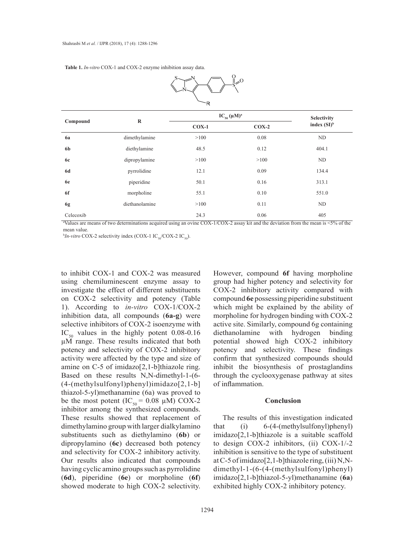**Table 1.** *In-vitro* COX-1 and COX-2 enzyme inhibition assay data. **Table 1.** *In-vitro* COX-1 and COX-2 enzyme inhibition assay data.



| Compound       | $\bf{R}$                                                                                                                                               | $IC_{50} (\mu M)^{a}$ |         | Selectivity    |
|----------------|--------------------------------------------------------------------------------------------------------------------------------------------------------|-----------------------|---------|----------------|
|                |                                                                                                                                                        | $COX-1$               | $COX-2$ | index $(SI)^b$ |
| 6a             | dimethylamine                                                                                                                                          | >100                  | 0.08    | ND             |
| 6 <sub>b</sub> | diethylamine                                                                                                                                           | 48.5                  | 0.12    | 404.1          |
| <b>6c</b>      | dipropylamine                                                                                                                                          | >100                  | >100    | ND             |
| <b>6d</b>      | pyrrolidine                                                                                                                                            | 12.1                  | 0.09    | 134.4          |
| 6e             | piperidine                                                                                                                                             | 50.1                  | 0.16    | 313.1          |
| 6f             | morpholine                                                                                                                                             | 55.1                  | 0.10    | 551.0          |
| 6g             | diethanolamine                                                                                                                                         | >100                  | 0.11    | ND             |
| Celecoxib      |                                                                                                                                                        | 24.3                  | 0.06    | 405            |
|                | <sup>a</sup> Values are means of two determinations acquired using an ovine COX-1/COX-2 assay kit and the deviation from the mean is $\leq 5\%$ of the |                       |         |                |

mean value.

 $b$ *In-vitro* COX-2 selectivity index (COX-1 IC<sub>50</sub>/COX-2 IC<sub>50</sub>).  $V = V \times 10^{10}$  and  $V = 20^{10}$ 

to inhibit COX-1 and COX-2 was measured using chemiluminescent enzyme assay to investigate the effect of different substituents on COX-2 selectivity and potency (Table 1). According to *in-vitro* COX-1/COX-2 which might be explained by the at inhibition data, all compounds (**6a-g**) were selective inhibitors of COX-2 isoenzyme with  $IC_{50}$  values in the highly potent 0.08-0.16 µM range. These results indicated that both potency and selectivity of COX-2 inhibitory activity were affected by the type and size of amine on C-5 of imidazo[2,1-b]thiazole ring. Based on these results N,N-dimethyl-1-(6- (4-(methylsulfonyl)phenyl)imidazo[2,1-b] thiazol-5-yl)methanamine (6a) was proved to be the most potent  $(IC_{50} = 0.08 \mu\text{M})$  COX-2 inhibitor among the synthesized compounds. These results showed that replacement of dimethylamino group with larger dialkylamino substituents such as diethylamino (**6b**) or dipropylamino (**6c**) decreased both potency and selectivity for COX-2 inhibitory activity. Our results also indicated that compounds having cyclic amino groups such as pyrrolidine (**6d**), piperidine (**6e**) or morpholine (**6f**) showed moderate to high COX-2 selectivity.

However, compound **6f** having morpholine emiluminescent enzyme assay to group had higher potency and selectivity for rate the effect of different substituents COX-2 inhibitory activity compared with compound **6e** possessing piperidine substituent which might be explained by the ability of on data, all compounds (6a-g) were morpholine for hydrogen binding with COX-2 active site. Similarly, compound 6g containing diethanolamine with hydrogen binding potential showed high COX-2 inhibitory potency and selectivity. These findings confirm that synthesized compounds should inhibit the biosynthesis of prostaglandins through the cyclooxygenase pathway at sites of inflammation.

## **Conclusion**

The results of this investigation indicated that (i) 6-(4-(methylsulfonyl)phenyl) imidazo[2,1-b]thiazole is a suitable scaffold to design COX-2 inhibitors, (ii) COX-1/-2 inhibition is sensitive to the type of substituent at C-5 of imidazo[2,1-b]thiazole ring, (iii) N,Ndimethyl-1-(6-(4-(methylsulfonyl)phenyl) imidazo[2,1-b]thiazol-5-yl)methanamine (**6a**) exhibited highly COX-2 inhibitory potency.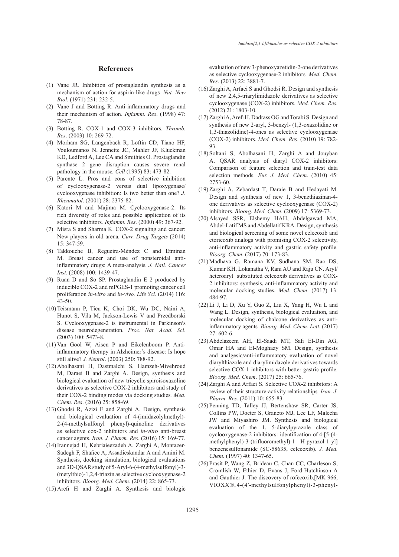#### **References**

- $(1)$  Vane JR. Inhibition of prostaglandin synthesis as a mechanism of action for aspirin-like drugs*. Nat. New Biol*. (1971) 231: 232-5.
- $(2)$  Vane J and Botting R. Anti-inflammatory drugs and their mechanism of action*. Inflamm. Res*. (1998) 47: 78-87.
- Botting R. COX-1 and COX-3 inhibitors*. Thromb.*  (3) *Res*. (2003) 10: 269-72.
- (4) Morham SG, Langenbach R, Loftin CD, Tiano HF, Vouloumanos N, Jennette JC, Mahler JF, Kluckman KD, Ledford A, Lee CA and Smithies O. Prostaglandin synthase 2 gene disruption causes severe renal pathology in the mouse*. Cell* (1995) 83: 473-82.
- $(5)$  Parente L. Pros and cons of selective inhibition of cyclooxygenase-2 versus dual lipoxygenase/ cyclooxygenase inhibition: Is two better than one? *J. Rheumatol*. (2001) 28: 2375-82.
- (6) Katori M and Majima M. Cyclooxygenase-2: Its rich diversity of roles and possible application of its selective inhibitors*. Inflamm. Res*. (2000) 49: 367-92.
- $(7)$  Misra S and Sharma K. COX-2 signaling and cancer: New players in old arena*. Curr. Drug Targets* (2014) 15: 347-59.
- Takkouche B, Regueira-Méndez C and Etminan (8) M. Breast cancer and use of nonsteroidal antiinflammatory drugs: A meta-analysis*. J. Natl. Cancer Inst.* (2008) 100: 1439-47.
- $(9)$  Ruan D and So SP. Prostaglandin E 2 produced by inducible COX-2 and mPGES-1 promoting cancer cell proliferation *in-vitro* and *in-vivo. Life Sci*. (2014) 116: 43-50.
- (10) Teismann P, Tieu K, Choi DK, Wu DC, Naini A, Hunot S, Vila M, Jackson-Lewis V and Przedborski S. Cyclooxygenase-2 is instrumental in Parkinson′s disease neurodegeneration*. Proc. Nat. Acad. Sci*. (2003) 100: 5473-8.
- $(11)$  Van Gool W, Aisen P and Eikelenboom P. Antiinflammatory therapy in Alzheimer's disease: Is hope still alive? *J. Neurol*. (2003) 250: 788-92.
- Abolhasani H, Dastmalchi S, Hamzeh-Mivehroud (12) M, Daraei B and Zarghi A. Design, synthesis and biological evaluation of new tricyclic spiroisoxazoline derivatives as selective COX-2 inhibitors and study of their COX-2 binding modes via docking studies*. Med. Chem. Res*. (2016) 25: 858-69.
- $(13)$  Ghodsi R, Azizi E and Zarghi A. Design, synthesis and biological evaluation of 4-(imidazolylmethyl)- 2-(4-methylsulfonyl phenyl)-quinoline derivatives as selective cox-2 inhibitors and *in-vitro* anti-breast cancer agents*. Iran. J. Pharm. Res*. (2016) 15: 169-77.
- (14) Irannejad H, Kebriaieezadeh A, Zarghi A, Montazer-Sadegh F, Shafiee A, Assadieskandar A and Amini M. Synthesis, docking simulation, biological evaluations and 3D-QSAR study of 5-Aryl-6-(4-methylsulfonyl)-3- (metylthio)-1,2,4-triazin as selective cyclooxygenase-2 inhibitors*. Bioorg. Med. Chem*. (2014) 22: 865-73.
- $(15)$  Arefi H and Zarghi A. Synthesis and biologic

evaluation of new 3-phenoxyazetidin-2-one derivatives as selective cyclooxygenase-2 inhibitors*. Med. Chem. Res*. (2013) 22: 3881-7.

- $(16)$  Zarghi A, Arfaei S and Ghodsi R. Design and synthesis of new 2,4,5-triarylimidazole derivatives as selective cyclooxygenase (COX-2) inhibitors*. Med. Chem. Res.*  (2012) 21: 1803-10.
- (17) Zarghi A, Arefi H, Dadrass OG and Torabi S. Design and synthesis of new 2-aryl, 3-benzyl- (1,3-oxazolidine or 1,3-thiazolidine)-4-ones as selective cyclooxygenase (COX-2) inhibitors*. Med. Chem. Res*. (2010) 19: 782- 93.
- (18) Soltani S, Abolhasani H, Zarghi A and Jouyban A. QSAR analysis of diaryl COX-2 inhibitors: Comparison of feature selection and train-test data selection methods*. Eur. J. Med. Chem*. (2010) 45: 2753-60.
- (19) Zarghi A, Zebardast T, Daraie B and Hedayati M. Design and synthesis of new 1, 3-benzthiazinan-4 one derivatives as selective cyclooxygenase (COX-2) inhibitors*. Bioorg. Med. Chem*. (2009) 17: 5369-73.
- (20) Alsayed SSR, Elshemy HAH, Abdelgawad MA, Abdel-Latif MS and Abdellatif KRA. Design, synthesis and biological screening of some novel celecoxib and etoricoxib analogs with promising COX-2 selectivity, anti-inflammatory activity and gastric safety profile*. Bioorg. Chem*. (2017) 70: 173-83.
- Madhava G, Ramana KV, Sudhana SM, Rao DS, (21) Kumar KH, Lokanatha V, Rani AU and Raju CN. Aryl/ heteroaryl substituted celecoxib derivatives as COX-2 inhibitors: synthesis, anti-inflammatory activity and molecular docking studies*. Med. Chem*. (2017) 13: 484-97.
- (22) Li J, Li D, Xu Y, Guo Z, Liu X, Yang H, Wu L and Wang L. Design, synthesis, biological evaluation, and molecular docking of chalcone derivatives as antiinflammatory agents*. Bioorg. Med. Chem. Lett*. (2017) 27: 602-6.
- Abdelazeem AH, El-Saadi MT, Safi El-Din AG, (23) Omar HA and El-Moghazy SM. Design, synthesis and analgesic/anti-inflammatory evaluation of novel diarylthiazole and diarylimidazole derivatives towards selective COX-1 inhibitors with better gastric profile*. Bioorg. Med. Chem*. (2017) 25: 665-76.
- $(24)$  Zarghi A and Arfaei S. Selective COX-2 inhibitors: A review of their structure-activity relationships*. Iran. J. Pharm. Res.* (2011) 10: 655-83.
- (25) Penning TD, Talley JJ, Bertenshaw SR, Carter JS, Collins PW, Docter S, Graneto MJ, Lee LF, Malecha JW and Miyashiro JM. Synthesis and biological evaluation of the 1, 5-diarylpyrazole class of cyclooxygenase-2 inhibitors: identification of 4-[5-(4 methylphenyl)-3-(trifluoromethyl)-1 H-pyrazol-1-yl] benzenesulfonamide (SC-58635, celecoxib)*. J. Med. Chem.* (1997) 40: 1347-65.
- (26) Prasit P, Wang Z, Brideau C, Chan CC, Charleson S, Cromlish W, Ethier D, Evans J, Ford-Hutchinson A and Gauthier J. The discovery of rofecoxib,[MK 966, VIOXX®,4-(4′-methylsulfonylphenyl)-3-phenyl-